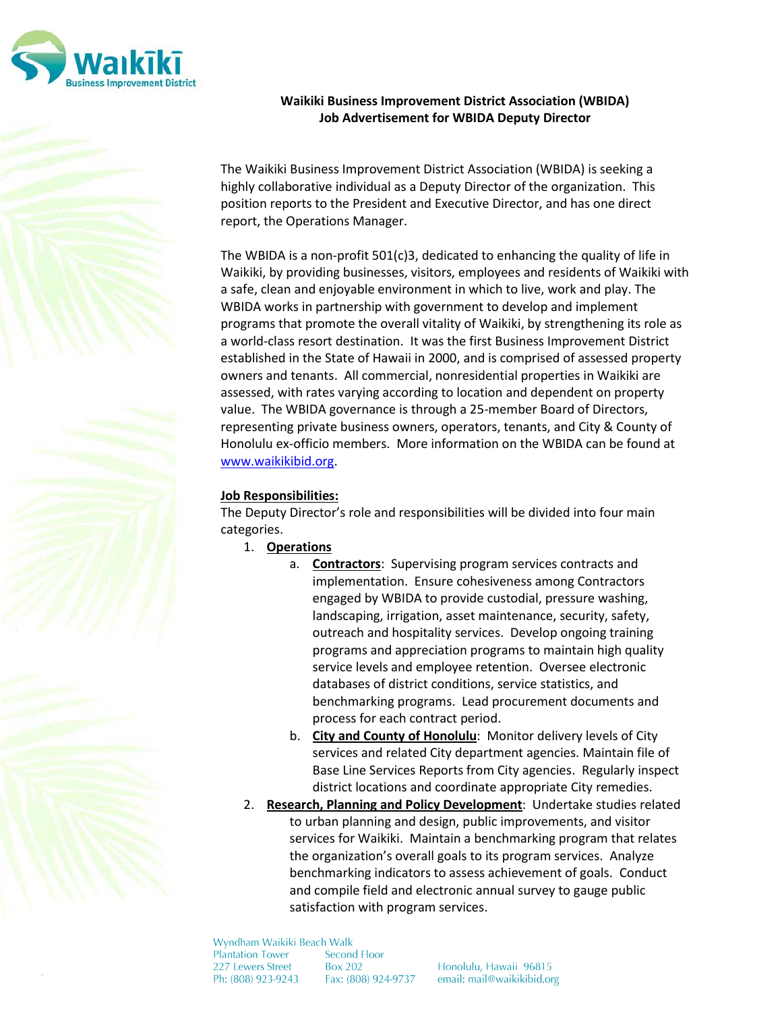

# **Waikiki Business Improvement District Association (WBIDA) Job Advertisement for WBIDA Deputy Director**

The Waikiki Business Improvement District Association (WBIDA) is seeking a highly collaborative individual as a Deputy Director of the organization. This position reports to the President and Executive Director, and has one direct report, the Operations Manager.

The WBIDA is a non-profit 501(c)3, dedicated to enhancing the quality of life in Waikiki, by providing businesses, visitors, employees and residents of Waikiki with a safe, clean and enjoyable environment in which to live, work and play. The WBIDA works in partnership with government to develop and implement programs that promote the overall vitality of Waikiki, by strengthening its role as a world-class resort destination. It was the first Business Improvement District established in the State of Hawaii in 2000, and is comprised of assessed property owners and tenants. All commercial, nonresidential properties in Waikiki are assessed, with rates varying according to location and dependent on property value. The WBIDA governance is through a 25-member Board of Directors, representing private business owners, operators, tenants, and City & County of Honolulu ex-officio members. More information on the WBIDA can be found at [www.waikikibid.org.](http://www.waikikibid.org/)

## **Job Responsibilities:**

The Deputy Director's role and responsibilities will be divided into four main categories.

- 1. **Operations**
	- a. **Contractors**: Supervising program services contracts and implementation. Ensure cohesiveness among Contractors engaged by WBIDA to provide custodial, pressure washing, landscaping, irrigation, asset maintenance, security, safety, outreach and hospitality services. Develop ongoing training programs and appreciation programs to maintain high quality service levels and employee retention. Oversee electronic databases of district conditions, service statistics, and benchmarking programs. Lead procurement documents and process for each contract period.
	- b. **City and County of Honolulu**: Monitor delivery levels of City services and related City department agencies. Maintain file of Base Line Services Reports from City agencies. Regularly inspect district locations and coordinate appropriate City remedies.
- 2. **Research, Planning and Policy Development**: Undertake studies related to urban planning and design, public improvements, and visitor services for Waikiki. Maintain a benchmarking program that relates the organization's overall goals to its program services. Analyze benchmarking indicators to assess achievement of goals. Conduct and compile field and electronic annual survey to gauge public satisfaction with program services.

Wyndham Waikiki Beach Walk Plantation Tower Second Floor 227 Lewers Street **Box 202** Ph: (808) 923-9243 Fax: (808) 924-9737